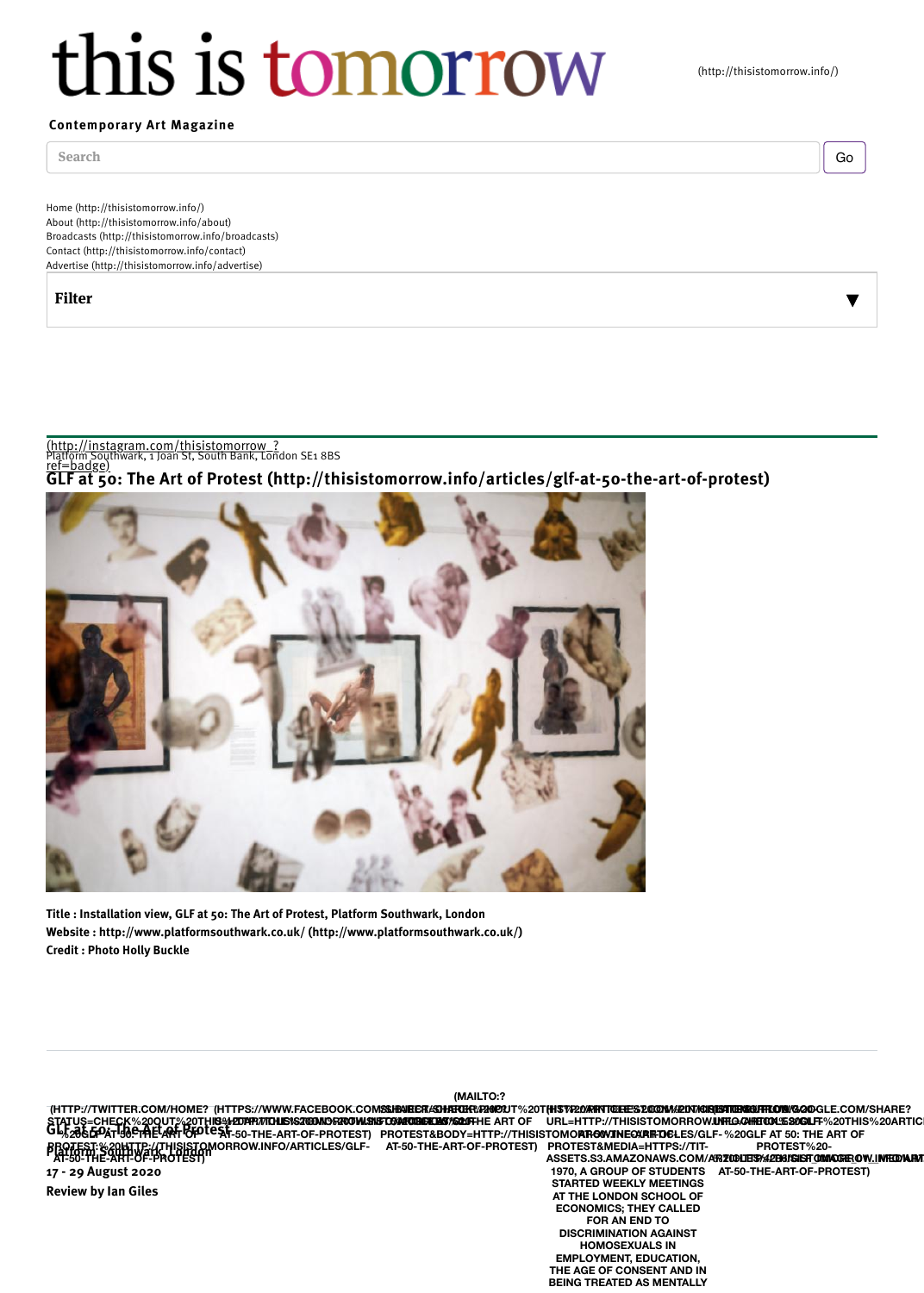

Title : Installation view, GLF at 50: The Art of Protest, Platform Southwark, London Website : http://www.platformsouthwark.co.uk/ (http://www.platformsouthwark.co.uk/) [Credit : Photo Holly Buckle](http://instagram.com/thisistomorrow_?ref=badge)

STATUS=CHECK%20QUT%20TH**IS%20TAR7/TOHIS162100MORROWL915FOGMPORREMS%20DF**<br>GL&2**8&&QATI38<del>CTA</del>EL@FTOFOTCSF-**50-THE-ART-OF-PROTEST) PROTEST&BODY=I **PROTEST:%20HTTP://THISISTOMORROW.INFO/ARTICLES/GLF-**<br>PROTEST:%20HTWark%APP&AI 17 - 29 August 2020 Review by Ian Giles **(HTTP://TWITTER.COM/HOME? (HTTPS://WWW.FACEBOOK.COM<b>SSJENEER***!S***SHARER/P20D?J**T%20T**{H\$VP**20 **%20GLF AT 50. THE LART TO F AT-50-THE-ART-OF-PROTEST) US:HEDPIR/VICHLISISZOOMORROW.ISIGTO/ARTIBIEKLES/SQLIFI AT-50-THE-ART-OF-PROTEST) (MAILTO:?** *<b>@ARUGIEKLAS%&20FHE ART OF* PROTEST&BODY=HTTP://THISISTOMO**P AT-50-THE-ART-OF-PROTEST)** URL=H<sup>\*</sup> **AT-50-THE-ART-OF-PROTE ASSETS 1970, A START AT TH ECON** 

> **DISC HOMOSEXUALS IN EMPL THE AG BEING**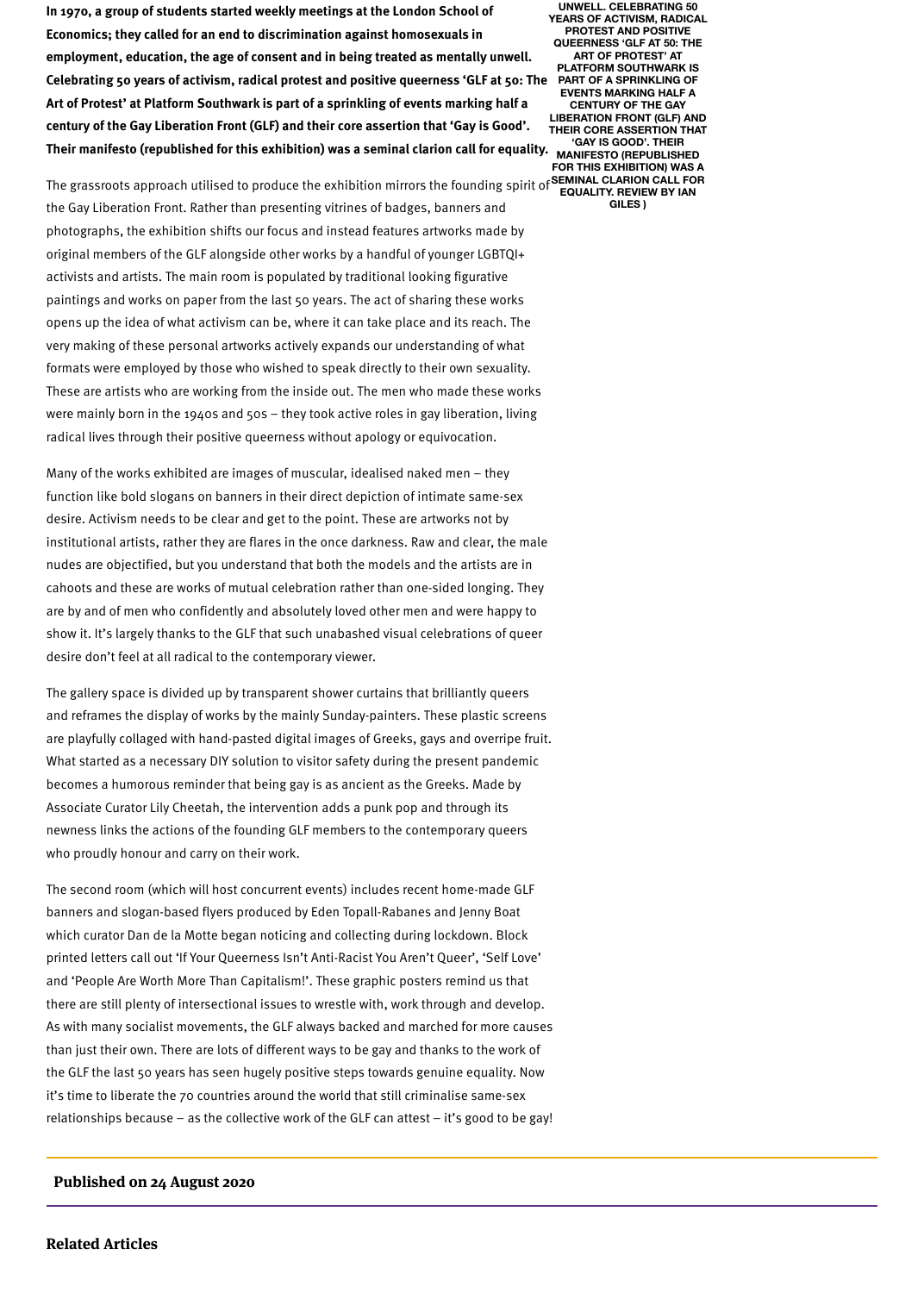institutional artists, rather they are flares in the once darkness. Raw and clear, the male nudes are objectified, but you understand that both the models and the artists are in cahoots and these are works of mutual celebration rather than one-sided longing. They are by and of men who confidently and absolutely loved other men and were happy to show it. It's largely thanks to the GLF that such unabashed visual celebrations of queer desire don't feel at all radical to the contemporary viewer.

The gallery space is divided up by transparent shower curtains that brilliantly queers and reframes the display of works by the mainly Sunday-painters. These plastic screens are playfully collaged with hand-pasted digital images of Greeks, gays and overripe frui[t.](http://pinterest.com/pin/create/button/?url=http://thisistomorrow.info/articles/glf-at-50-the-art-of-protest&media=https://tit-assets.s3.amazonaws.com/articles/4286/glf_image_01__medium.jpg&description=In%201970,%20a%20group%20of%20students%20started%20weekly%20meetings%20at%20the%20London%20School%20of%20Economics;%20they%20called%20for%20an%20end%20to%20discrimination%20against%20homosexuals%20in%20employment,%20education,%20the%20age%20of%20consent%20and%20in%20being%20treated%20as%20mentally%20unwell.%20Celebrating%2050%20years%20of%20activism,%20radical%20protest%20and%20positive%20queerness%20%E2%80%98GLF%20at%2050:%20The%20Art%20of%20Protest%E2%80%99%20at%20Platform%20Southwark%20is%20part%20of%20a%20sprinkling%20of%20events%20marking%20half%20a%20century%20of%20the%20Gay%20Liberation%20Front%20(GLF)%20and%20their%20core%20assertion%20that%20%E2%80%98Gay%20is%20Good%E2%80%99.%20Their%20manifesto%20(republished%20for%20this%20exhibition)%20was%20a%20seminal%20clarion%20call%20for%20equality.%20Review%20by%20Ian%20Giles) What started as a necessary DIY solution to visitor safety during the present pandemic becomes a humorous reminder that being gay is as ancient as the Greeks. Made by Associate Curator Lily Cheetah, the intervention adds a punk pop and through its newness links the actions of the founding GLF members to the contemporary queers who proudly honour and carry on their work.

The second room (which will host concurrent events) includes recent home-made GLF banners and slogan-based flyers produced by Eden Topall-Rabanes and Jenny Boat which curator Dan de la Motte began noticing and collecting during lockdown. Block printed letters call out 'If Your Queerness Isn't Anti-Racist You Aren't Queer', 'Self Love' and 'People Are Worth More Than Capitalism!'. These graphic posters remind us that there are still plenty of intersectional issues to wrestle with, work through and develop. As with many socialist movements, the GLF always backed and marched for more causes than just their own. There are lots of different ways to be gay and thanks to the work of the GLF the last 50 years has seen hugely positive steps towards genuine equality. Now it's time to liberate the 70 countries around the world that still criminalise same-sex relationships because – as the collective work of the GLF can attest  $-$  it's good to be gay!

## Published on 24 August 2020

## Related Articles